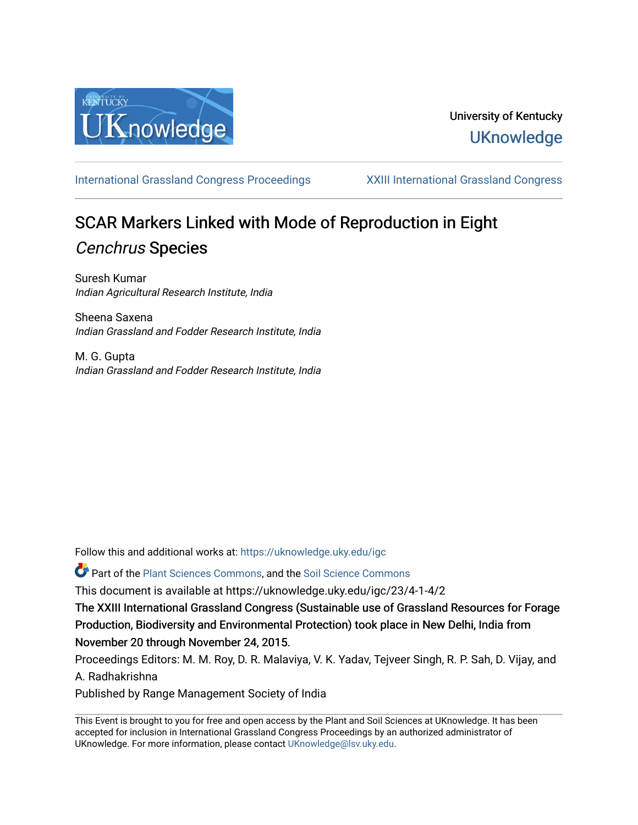

[International Grassland Congress Proceedings](https://uknowledge.uky.edu/igc) [XXIII International Grassland Congress](https://uknowledge.uky.edu/igc/23) 

# SCAR Markers Linked with Mode of Reproduction in Eight Cenchrus Species

Suresh Kumar Indian Agricultural Research Institute, India

Sheena Saxena Indian Grassland and Fodder Research Institute, India

M. G. Gupta Indian Grassland and Fodder Research Institute, India

Follow this and additional works at: [https://uknowledge.uky.edu/igc](https://uknowledge.uky.edu/igc?utm_source=uknowledge.uky.edu%2Figc%2F23%2F4-1-4%2F2&utm_medium=PDF&utm_campaign=PDFCoverPages) 

Part of the [Plant Sciences Commons](http://network.bepress.com/hgg/discipline/102?utm_source=uknowledge.uky.edu%2Figc%2F23%2F4-1-4%2F2&utm_medium=PDF&utm_campaign=PDFCoverPages), and the [Soil Science Commons](http://network.bepress.com/hgg/discipline/163?utm_source=uknowledge.uky.edu%2Figc%2F23%2F4-1-4%2F2&utm_medium=PDF&utm_campaign=PDFCoverPages) 

This document is available at https://uknowledge.uky.edu/igc/23/4-1-4/2

The XXIII International Grassland Congress (Sustainable use of Grassland Resources for Forage Production, Biodiversity and Environmental Protection) took place in New Delhi, India from November 20 through November 24, 2015.

Proceedings Editors: M. M. Roy, D. R. Malaviya, V. K. Yadav, Tejveer Singh, R. P. Sah, D. Vijay, and A. Radhakrishna

Published by Range Management Society of India

This Event is brought to you for free and open access by the Plant and Soil Sciences at UKnowledge. It has been accepted for inclusion in International Grassland Congress Proceedings by an authorized administrator of UKnowledge. For more information, please contact [UKnowledge@lsv.uky.edu](mailto:UKnowledge@lsv.uky.edu).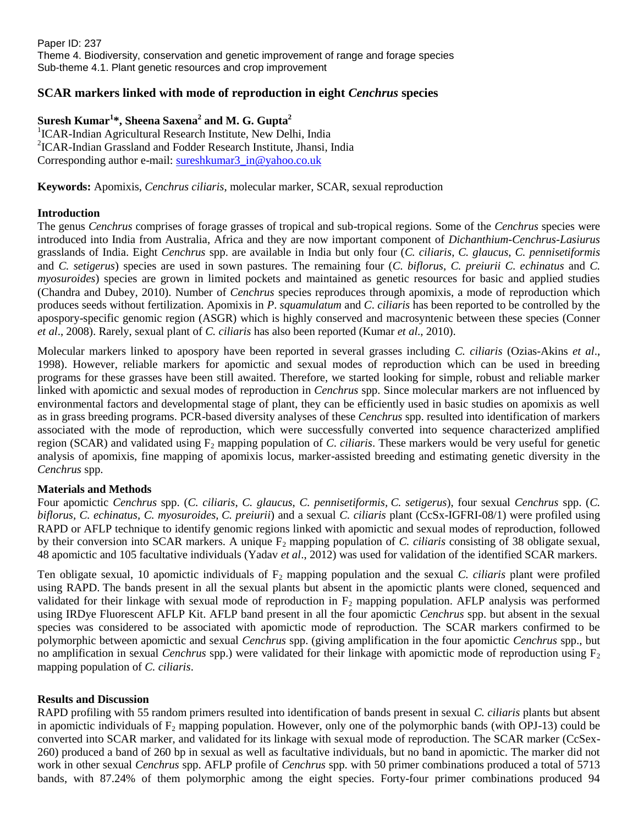# **SCAR markers linked with mode of reproduction in eight** *Cenchrus* **species**

# **Suresh Kumar<sup>1</sup> \*, Sheena Saxena<sup>2</sup> and M. G. Gupta<sup>2</sup>**

<sup>1</sup>ICAR-Indian Agricultural Research Institute, New Delhi, India 2 ICAR-Indian Grassland and Fodder Research Institute, Jhansi, India Corresponding author e-mail: [sureshkumar3\\_in@yahoo.co.uk](mailto:sureshkumar3_in@yahoo.co.uk)

**Keywords:** Apomixis, *Cenchrus ciliaris*, molecular marker, SCAR, sexual reproduction

## **Introduction**

The genus *Cenchrus* comprises of forage grasses of tropical and sub-tropical regions. Some of the *Cenchrus* species were introduced into India from Australia, Africa and they are now important component of *Dichanthium-Cenchrus-Lasiurus*  grasslands of India. Eight *Cenchrus* spp. are available in India but only four (*C. ciliaris*, *C. glaucus*, *C. pennisetiformis* and *C. setigerus*) species are used in sown pastures. The remaining four (*C. biflorus*, *C. preiurii C. echinatus* and *C. myosuroides*) species are grown in limited pockets and maintained as genetic resources for basic and applied studies (Chandra and Dubey, 2010). Number of *Cenchrus* species reproduces through apomixis, a mode of reproduction which produces seeds without fertilization. Apomixis in *P*. *squamulatum* and *C*. *ciliaris* has been reported to be controlled by the apospory-specific genomic region (ASGR) which is highly conserved and macrosyntenic between these species (Conner *et al*., 2008). Rarely, sexual plant of *C. ciliaris* has also been reported (Kumar *et al*., 2010).

Molecular markers linked to apospory have been reported in several grasses including *C. ciliaris* (Ozias-Akins *et al*., 1998). However, reliable markers for apomictic and sexual modes of reproduction which can be used in breeding programs for these grasses have been still awaited. Therefore, we started looking for simple, robust and reliable marker linked with apomictic and sexual modes of reproduction in *Cenchrus* spp. Since molecular markers are not influenced by environmental factors and developmental stage of plant, they can be efficiently used in basic studies on apomixis as well as in grass breeding programs. PCR-based diversity analyses of these *Cenchrus* spp. resulted into identification of markers associated with the mode of reproduction, which were successfully converted into sequence characterized amplified region (SCAR) and validated using F<sub>2</sub> mapping population of *C. ciliaris*. These markers would be very useful for genetic analysis of apomixis, fine mapping of apomixis locus, marker-assisted breeding and estimating genetic diversity in the *Cenchrus* spp.

### **Materials and Methods**

Four apomictic *Cenchrus* spp. (*C. ciliaris*, *C. glaucus*, *C. pennisetiformis, C. setigerus*), four sexual *Cenchrus* spp. (*C. biflorus, C. echinatus, C. myosuroides, C. preiurii*) and a sexual *C. ciliaris* plant (CcSx-IGFRI-08/1) were profiled using RAPD or AFLP technique to identify genomic regions linked with apomictic and sexual modes of reproduction, followed by their conversion into SCAR markers. A unique F<sup>2</sup> mapping population of *C. ciliaris* consisting of 38 obligate sexual, 48 apomictic and 105 facultative individuals (Yadav *et al*., 2012) was used for validation of the identified SCAR markers.

Ten obligate sexual, 10 apomictic individuals of  $F_2$  mapping population and the sexual *C. ciliaris* plant were profiled using RAPD. The bands present in all the sexual plants but absent in the apomictic plants were cloned, sequenced and validated for their linkage with sexual mode of reproduction in  $F_2$  mapping population. AFLP analysis was performed using IRDye Fluorescent AFLP Kit. AFLP band present in all the four apomictic *Cenchrus* spp. but absent in the sexual species was considered to be associated with apomictic mode of reproduction. The SCAR markers confirmed to be polymorphic between apomictic and sexual *Cenchrus* spp. (giving amplification in the four apomictic *Cenchrus* spp., but no amplification in sexual *Cenchrus* spp.) were validated for their linkage with apomictic mode of reproduction using F<sub>2</sub> mapping population of *C. ciliaris*.

### **Results and Discussion**

RAPD profiling with 55 random primers resulted into identification of bands present in sexual *C. ciliaris* plants but absent in apomictic individuals of  $F_2$  mapping population. However, only one of the polymorphic bands (with OPJ-13) could be converted into SCAR marker, and validated for its linkage with sexual mode of reproduction. The SCAR marker (CcSex-260) produced a band of 260 bp in sexual as well as facultative individuals, but no band in apomictic. The marker did not work in other sexual *Cenchrus* spp. AFLP profile of *Cenchrus* spp. with 50 primer combinations produced a total of 5713 bands, with 87.24% of them polymorphic among the eight species. Forty-four primer combinations produced 94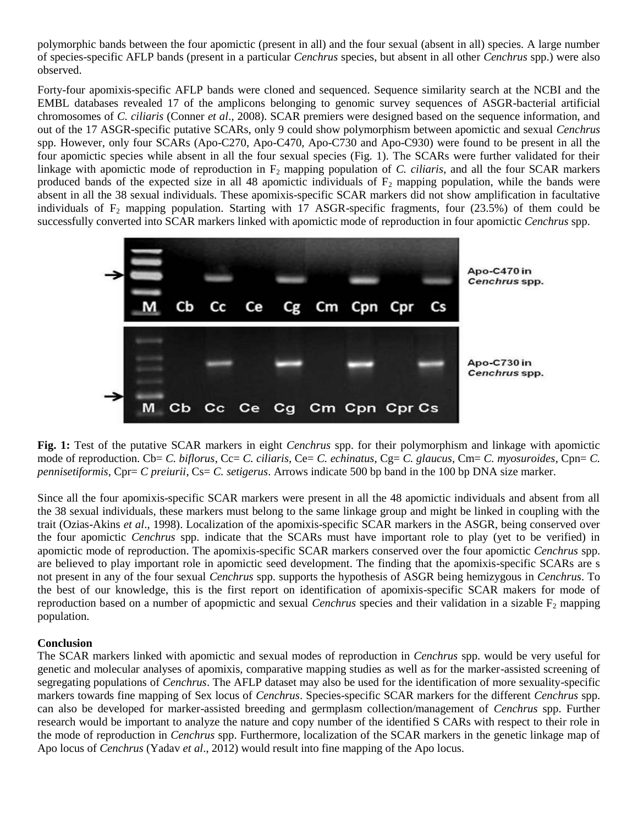polymorphic bands between the four apomictic (present in all) and the four sexual (absent in all) species. A large number of species-specific AFLP bands (present in a particular *Cenchrus* species, but absent in all other *Cenchrus* spp.) were also observed.

Forty-four apomixis-specific AFLP bands were cloned and sequenced. Sequence similarity search at the NCBI and the EMBL databases revealed 17 of the amplicons belonging to genomic survey sequences of ASGR-bacterial artificial chromosomes of *C. ciliaris* (Conner *et al*., 2008). SCAR premiers were designed based on the sequence information, and out of the 17 ASGR-specific putative SCARs, only 9 could show polymorphism between apomictic and sexual *Cenchrus* spp. However, only four SCARs (Apo-C270, Apo-C470, Apo-C730 and Apo-C930) were found to be present in all the four apomictic species while absent in all the four sexual species (Fig. 1). The SCARs were further validated for their linkage with apomictic mode of reproduction in F<sub>2</sub> mapping population of *C. ciliaris*, and all the four SCAR markers produced bands of the expected size in all 48 apomictic individuals of  $F_2$  mapping population, while the bands were absent in all the 38 sexual individuals. These apomixis-specific SCAR markers did not show amplification in facultative individuals of  $F_2$  mapping population. Starting with 17 ASGR-specific fragments, four (23.5%) of them could be successfully converted into SCAR markers linked with apomictic mode of reproduction in four apomictic *Cenchrus* spp.



**Fig. 1:** Test of the putative SCAR markers in eight *Cenchrus* spp. for their polymorphism and linkage with apomictic mode of reproduction. Cb= *C. biflorus*, Cc= *C. ciliaris*, Ce= *C. echinatus*, Cg= *C. glaucus*, Cm= *C. myosuroides*, Cpn= *C. pennisetiformis*, Cpr= *C preiurii*, Cs= *C. setigerus*. Arrows indicate 500 bp band in the 100 bp DNA size marker.

Since all the four apomixis-specific SCAR markers were present in all the 48 apomictic individuals and absent from all the 38 sexual individuals, these markers must belong to the same linkage group and might be linked in coupling with the trait (Ozias-Akins *et al*., 1998). Localization of the apomixis-specific SCAR markers in the ASGR, being conserved over the four apomictic *Cenchrus* spp. indicate that the SCARs must have important role to play (yet to be verified) in apomictic mode of reproduction. The apomixis-specific SCAR markers conserved over the four apomictic *Cenchrus* spp. are believed to play important role in apomictic seed development. The finding that the apomixis-specific SCARs are s not present in any of the four sexual *Cenchrus* spp. supports the hypothesis of ASGR being hemizygous in *Cenchrus*. To the best of our knowledge, this is the first report on identification of apomixis-specific SCAR makers for mode of reproduction based on a number of apopmictic and sexual *Cenchrus* species and their validation in a sizable  $F_2$  mapping population.

### **Conclusion**

The SCAR markers linked with apomictic and sexual modes of reproduction in *Cenchrus* spp. would be very useful for genetic and molecular analyses of apomixis, comparative mapping studies as well as for the marker-assisted screening of segregating populations of *Cenchrus*. The AFLP dataset may also be used for the identification of more sexuality-specific markers towards fine mapping of Sex locus of *Cenchrus*. Species-specific SCAR markers for the different *Cenchrus* spp. can also be developed for marker-assisted breeding and germplasm collection/management of *Cenchrus* spp. Further research would be important to analyze the nature and copy number of the identified S CARs with respect to their role in the mode of reproduction in *Cenchrus* spp. Furthermore, localization of the SCAR markers in the genetic linkage map of Apo locus of *Cenchrus* (Yadav *et al*., 2012) would result into fine mapping of the Apo locus.